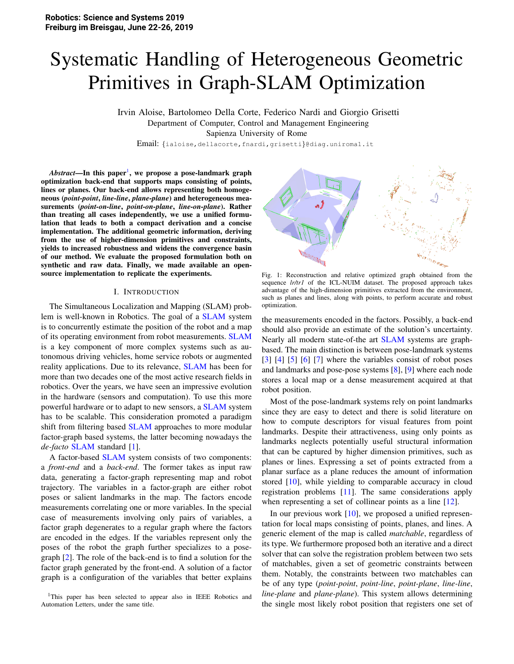# Systematic Handling of Heterogeneous Geometric Primitives in Graph-SLAM Optimization

Irvin Aloise, Bartolomeo Della Corte, Federico Nardi and Giorgio Grisetti Department of Computer, Control and Management Engineering Sapienza University of Rome

Email: {ialoise,dellacorte,fnardi,grisetti}@diag.uniroma1.it

A*bstract*—In this paper<sup>1</sup>, we propose a pose-landmark graph optimization back-end that supports maps consisting of points, lines or planes. Our back-end allows representing both homogeneous (*point-point*, *line-line*, *plane-plane*) and heterogeneous measurements (*point-on-line*, *point-on-plane*, *line-on-plane*). Rather than treating all cases independently, we use a unified formulation that leads to both a compact derivation and a concise implementation. The additional geometric information, deriving from the use of higher-dimension primitives and constraints, yields to increased robustness and widens the convergence basin of our method. We evaluate the proposed formulation both on synthetic and raw data. Finally, we made available an opensource implementation to replicate the experiments.

#### I. INTRODUCTION

The Simultaneous Localization and Mapping (SLAM) problem is well-known in Robotics. The goal of a SLAM system is to concurrently estimate the position of the robot and a map of its operating environment from robot measurements. SLAM is a key component of more complex systems such as autonomous driving vehicles, home service robots or augmented reality applications. Due to its relevance, **SLAM** has been for more than two decades one of the most active research fields in robotics. Over the years, we have seen an impressive evolution in the hardware (sensors and computation). To use this more powerful hardware or to adapt to new sensors, a SLAM system has to be scalable. This consideration promoted a paradigm shift from filtering based **SLAM** approaches to more modular factor-graph based systems, the latter becoming nowadays the *de-facto* SLAM standard [1].

A factor-based SLAM system consists of two components: a *front-end* and a *back-end*. The former takes as input raw data, generating a factor-graph representing map and robot trajectory. The variables in a factor-graph are either robot poses or salient landmarks in the map. The factors encode measurements correlating one or more variables. In the special case of measurements involving only pairs of variables, a factor graph degenerates to a regular graph where the factors are encoded in the edges. If the variables represent only the poses of the robot the graph further specializes to a posegraph [2]. The role of the back-end is to find a solution for the factor graph generated by the front-end. A solution of a factor graph is a configuration of the variables that better explains



Fig. 1: Reconstruction and relative optimized graph obtained from the sequence *lr/tr1* of the ICL-NUIM dataset. The proposed approach takes advantage of the high-dimension primitives extracted from the environment, such as planes and lines, along with points, to perform accurate and robust optimization.

the measurements encoded in the factors. Possibly, a back-end should also provide an estimate of the solution's uncertainty. Nearly all modern state-of-the art SLAM systems are graphbased. The main distinction is between pose-landmark systems [3] [4] [5] [6] [7] where the variables consist of robot poses and landmarks and pose-pose systems [8], [9] where each node stores a local map or a dense measurement acquired at that robot position.

Most of the pose-landmark systems rely on point landmarks since they are easy to detect and there is solid literature on how to compute descriptors for visual features from point landmarks. Despite their attractiveness, using only points as landmarks neglects potentially useful structural information that can be captured by higher dimension primitives, such as planes or lines. Expressing a set of points extracted from a planar surface as a plane reduces the amount of information stored [10], while yielding to comparable accuracy in cloud registration problems [11]. The same considerations apply when representing a set of collinear points as a line [12].

In our previous work [10], we proposed a unified representation for local maps consisting of points, planes, and lines. A generic element of the map is called *matchable*, regardless of its type. We furthermore proposed both an iterative and a direct solver that can solve the registration problem between two sets of matchables, given a set of geometric constraints between them. Notably, the constraints between two matchables can be of any type (*point-point*, *point-line*, *point-plane*, *line-line*, *line-plane* and *plane-plane*). This system allows determining the single most likely robot position that registers one set of

<sup>&</sup>lt;sup>1</sup>This paper has been selected to appear also in IEEE Robotics and Automation Letters, under the same title.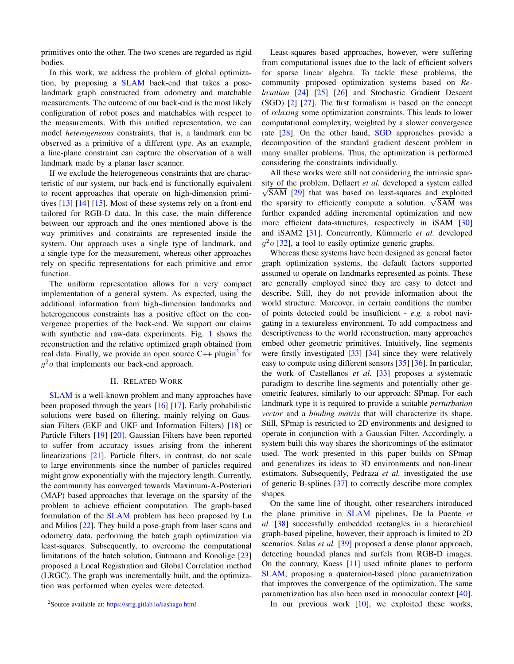primitives onto the other. The two scenes are regarded as rigid bodies.

In this work, we address the problem of global optimization, by proposing a SLAM back-end that takes a poselandmark graph constructed from odometry and matchable measurements. The outcome of our back-end is the most likely configuration of robot poses and matchables with respect to the measurements. With this unified representation, we can model *heterogeneous* constraints, that is, a landmark can be observed as a primitive of a different type. As an example, a line-plane constraint can capture the observation of a wall landmark made by a planar laser scanner.

If we exclude the heterogeneous constraints that are characteristic of our system, our back-end is functionally equivalent to recent approaches that operate on high-dimension primitives  $\lceil 13 \rceil$   $\lceil 14 \rceil$   $\lceil 15 \rceil$ . Most of these systems rely on a front-end tailored for RGB-D data. In this case, the main difference between our approach and the ones mentioned above is the way primitives and constraints are represented inside the system. Our approach uses a single type of landmark, and a single type for the measurement, whereas other approaches rely on specific representations for each primitive and error function.

The uniform representation allows for a very compact implementation of a general system. As expected, using the additional information from high-dimension landmarks and heterogeneous constraints has a positive effect on the convergence properties of the back-end. We support our claims with synthetic and raw-data experiments. Fig. 1 shows the reconstruction and the relative optimized graph obtained from real data. Finally, we provide an open source  $C++$  plugin<sup>2</sup> for  $g<sup>2</sup>$  that implements our back-end approach.

#### **II. RELATED WORK**

SLAM is a well-known problem and many approaches have been proposed through the years [16] [17]. Early probabilistic solutions were based on filtering, mainly relying on Gaussian Filters (EKF and UKF and Information Filters) [18] or Particle Filters [19] [20]. Gaussian Filters have been reported to suffer from accuracy issues arising from the inherent linearizations  $[21]$ . Particle filters, in contrast, do not scale to large environments since the number of particles required might grow exponentially with the trajectory length. Currently, the community has converged towards Maximum-A-Posteriori (MAP) based approaches that leverage on the sparsity of the problem to achieve efficient computation. The graph-based formulation of the SLAM problem has been proposed by Lu and Milios  $[22]$ . They build a pose-graph from laser scans and odometry data, performing the batch graph optimization via least-squares. Subsequently, to overcome the computational limitations of the batch solution, Gutmann and Konolige [23] proposed a Local Registration and Global Correlation method (LRGC). The graph was incrementally built, and the optimization was performed when cycles were detected.

Least-squares based approaches, however, were suffering from computational issues due to the lack of efficient solvers for sparse linear algebra. To tackle these problems, the community proposed optimization systems based on Re*laxation* [24] [25] [26] and Stochastic Gradient Descent  $(SGD)$  [2] [27]. The first formalism is based on the concept of *relaxing* some optimization constraints. This leads to lower computational complexity, weighted by a slower convergence rate [28]. On the other hand, SGD approaches provide a decomposition of the standard gradient descent problem in many smaller problems. Thus, the optimization is performed considering the constraints individually.

All these works were still not considering the intrinsic sparsity of the problem. Dellaert et al. developed a system called  $\sqrt{SAM}$  [29] that was based on least-squares and exploited the sparsity to efficiently compute a solution.  $\sqrt{SAM}$  was further expanded adding incremental optimization and new more efficient data-structures, respectively in iSAM [30] and iSAM2 [31]. Concurrently, Kümmerle et al. developed  $q^2$ o [32], a tool to easily optimize generic graphs.

Whereas these systems have been designed as general factor graph optimization systems, the default factors supported assumed to operate on landmarks represented as points. These are generally employed since they are easy to detect and describe. Still, they do not provide information about the world structure. Moreover, in certain conditions the number of points detected could be insufficient -  $e.g.$  a robot navigating in a textureless environment. To add compactness and descriptiveness to the world reconstruction, many approaches embed other geometric primitives. Intuitively, line segments were firstly investigated  $[33]$   $[34]$  since they were relatively easy to compute using different sensors [35] [36]. In particular, the work of Castellanos et al. [33] proposes a systematic paradigm to describe line-segments and potentially other geometric features, similarly to our approach: SPmap. For each landmark type it is required to provide a suitable *perturbation* vector and a binding matrix that will characterize its shape. Still, SPmap is restricted to 2D environments and designed to operate in conjunction with a Gaussian Filter. Accordingly, a system built this way shares the shortcomings of the estimator used. The work presented in this paper builds on SPmap and generalizes its ideas to 3D environments and non-linear estimators. Subsequently, Pedraza et al. investigated the use of generic B-splines [37] to correctly describe more complex shapes.

On the same line of thought, other researchers introduced the plane primitive in SLAM pipelines. De la Puente et al. [38] successfully embedded rectangles in a hierarchical graph-based pipeline, however, their approach is limited to 2D scenarios. Salas et al. [39] proposed a dense planar approach, detecting bounded planes and surfels from RGB-D images. On the contrary, Kaess  $[11]$  used infinite planes to perform SLAM, proposing a quaternion-based plane parametrization that improves the convergence of the optimization. The same parametrization has also been used in monocular context [40].

In our previous work [10], we exploited these works,

<sup>&</sup>lt;sup>2</sup>Source available at: https://srrg.gitlab.io/sashago.html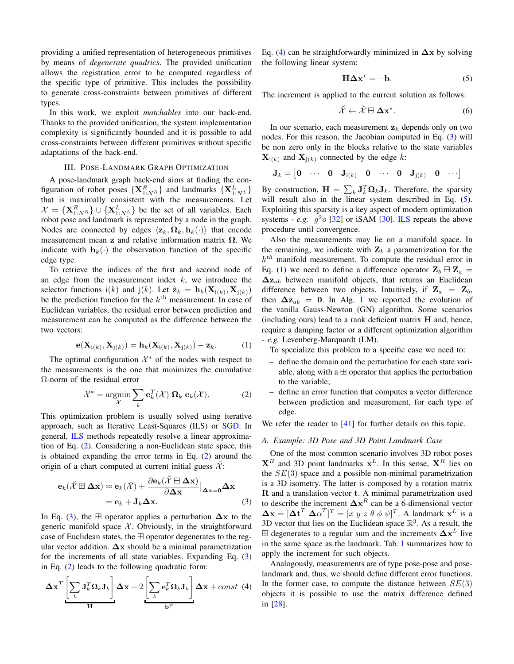providing a unified representation of heterogeneous primitives by means of *degenerate quadrics*. The provided unification allows the registration error to be computed regardless of the specific type of primitive. This includes the possibility to generate cross-constraints between primitives of different types.

In this work, we exploit *matchables* into our back-end. Thanks to the provided unification, the system implementation complexity is significantly bounded and it is possible to add cross-constraints between different primitives without specific adaptations of the back-end.

## III. POSE-LANDMARK GRAPH OPTIMIZATION

A pose-landmark graph back-end aims at finding the configuration of robot poses  $\{X_{1:NR}^R\}$  and landmarks  $\{X_{1:N^L}^L\}$  that is maximally consistent with the measurements. Let  $\mathcal{X} = {\{\mathbf{X}_{1:NR}^R\}} \cup {\{\mathbf{X}_{1:N^L}^L\}}$  be the set of all variables. Each robot pose and landmark is represented by a node in the graph. Nodes are connected by edges  $\langle \mathbf{z}_k, \mathbf{\Omega}_k, \mathbf{h}_k(\cdot) \rangle$  that encode measurement mean z and relative information matrix  $\Omega$ . We indicate with  $h_k(\cdot)$  the observation function of the specific edge type.

To retrieve the indices of the first and second node of an edge from the measurement index  $k$ , we introduce the selector functions i(k) and j(k). Let  $\hat{\mathbf{z}}_k = \mathbf{h}_k(\mathbf{X}_{i(k)}, \mathbf{X}_{j(k)})$ be the prediction function for the  $k^{\text{th}}$  measurement. In case of Euclidean variables, the residual error between prediction and measurement can be computed as the difference between the two vectors:

$$
\mathbf{e}(\mathbf{X}_{i(k)}, \mathbf{X}_{j(k)}) = \mathbf{h}_k(\mathbf{X}_{i(k)}, \mathbf{X}_{j(k)}) - \mathbf{z}_k.
$$
 (1)

The optimal configuration  $\mathcal{X}^*$  of the nodes with respect to the measurements is the one that minimizes the cumulative  $\Omega$ -norm of the residual error

$$
\mathcal{X}^* = \underset{\mathcal{X}}{\text{argmin}} \sum_k \mathbf{e}_k^T(\mathcal{X}) \; \mathbf{\Omega}_k \; \mathbf{e}_k(\mathcal{X}). \tag{2}
$$

This optimization problem is usually solved using iterative approach, such as Iterative Least-Squares (ILS) or SGD. In general, ILS methods repeatedly resolve a linear approximation of Eq.  $(2)$ . Considering a non-Euclidean state space, this is obtained expanding the error terms in Eq.  $(2)$  around the origin of a chart computed at current initial guess  $\mathcal{X}$ :

$$
\mathbf{e}_{k}(\breve{\mathcal{X}}\boxplus \Delta \mathbf{x}) \approx \mathbf{e}_{k}(\breve{\mathcal{X}}) + \frac{\partial \mathbf{e}_{k}(\mathcal{X} \boxplus \Delta \mathbf{x})}{\partial \Delta \mathbf{x}}|_{\Delta \mathbf{x} = 0} \Delta \mathbf{x}
$$

$$
= \mathbf{e}_{k} + \mathbf{J}_{k} \Delta \mathbf{x}.
$$
(3)

In Eq. (3), the  $\boxplus$  operator applies a perturbation  $\Delta x$  to the generic manifold space  $X$ . Obviously, in the straightforward case of Euclidean states, the  $\boxplus$  operator degenerates to the regular vector addition.  $\Delta x$  should be a minimal parametrization for the increments of all state variables. Expanding Eq.  $(3)$ in Eq.  $(2)$  leads to the following quadratic form:

$$
\Delta \mathbf{x}^T \left[ \sum_k \mathbf{J}_k^T \mathbf{\Omega}_k \mathbf{J}_k \right] \Delta \mathbf{x} + 2 \left[ \sum_k \mathbf{e}_k^T \mathbf{\Omega}_k \mathbf{J}_k \right] \Delta \mathbf{x} + const \tag{4}
$$

Eq. (4) can be straightforwardly minimized in  $\Delta x$  by solving the following linear system:

$$
H\Delta x^* = -b. \tag{5}
$$

The increment is applied to the current solution as follows:

$$
\tilde{\mathcal{X}} \leftarrow \tilde{\mathcal{X}} \boxplus \Delta \mathbf{x}^{\star}.\tag{6}
$$

In our scenario, each measurement  $z_k$  depends only on two nodes. For this reason, the Jacobian computed in Eq. (3) will be non zero only in the blocks relative to the state variables  $X_{i(k)}$  and  $X_{i(k)}$  connected by the edge k:

$$
\mathbf{J}_k = \begin{bmatrix} \mathbf{0} & \cdots & \mathbf{0} & \mathbf{J}_{\mathrm{i}(k)} & \mathbf{0} & \cdots & \mathbf{0} & \mathbf{J}_{\mathrm{j}(k)} & \mathbf{0} & \cdots \end{bmatrix}
$$

By construction,  $\mathbf{H} = \sum_{k} \mathbf{J}_{k}^{T} \mathbf{\Omega}_{k} \mathbf{J}_{k}$ . Therefore, the sparsity will result also in the linear system described in Eq. (5). Exploiting this sparsity is a key aspect of modern optimization systems - e.g.  $q^2 \circ 32$  or iSAM  $30$ . ILS repeats the above procedure until convergence.

Also the measurements may lie on a manifold space. In the remaining, we indicate with  $\mathbf{Z}_k$  a parametrization for the  $k^{th}$  manifold measurement. To compute the residual error in Eq. (1) we need to define a difference operator  $\mathbf{Z}_b \boxminus \mathbf{Z}_a =$  $\Delta z_{ab}$  between manifold objects, that returns an Euclidean difference between two objects. Intuitively, if  $\mathbf{Z}_a = \mathbf{Z}_b$ , then  $\Delta z_{ab} = 0$ . In Alg. 1 we reported the evolution of the vanilla Gauss-Newton (GN) algorithm. Some scenarios (including ours) lead to a rank deficient matrix  $H$  and, hence, require a damping factor or a different optimization algorithm - e.g. Levenberg-Marquardt (LM).

To specialize this problem to a specific case we need to:

- define the domain and the perturbation for each state variable, along with a  $\boxplus$  operator that applies the perturbation to the variable;
- $\equiv$ define an error function that computes a vector difference between prediction and measurement, for each type of edge.

We refer the reader to  $[41]$  for further details on this topic.

#### A. Example: 3D Pose and 3D Point Landmark Case

One of the most common scenario involves 3D robot poses  $X^R$  and 3D point landmarks  $X^L$ . In this sense,  $X^R$  lies on the  $SE(3)$  space and a possible non-minimal parametrization is a 3D isometry. The latter is composed by a rotation matrix R and a translation vector t. A minimal parametrization used to describe the increment  $\Delta x^R$  can be a 6-dimensional vector  $\Delta x = [\Delta t^T \ \Delta \alpha^T]^T = [x \ y \ z \ \theta \ \phi \ \psi]^T$ . A landmark  $x^L$  is a 3D vector that lies on the Euclidean space  $\mathbb{R}^3$ . As a result, the  $\boxplus$  degenerates to a regular sum and the increments  $\Delta x^L$  live in the same space as the landmark. Tab. I summarizes how to apply the increment for such objects.

Analogously, measurements are of type pose-pose and poselandmark and, thus, we should define different error functions. In the former case, to compute the distance between  $SE(3)$ objects it is possible to use the matrix difference defined in [28].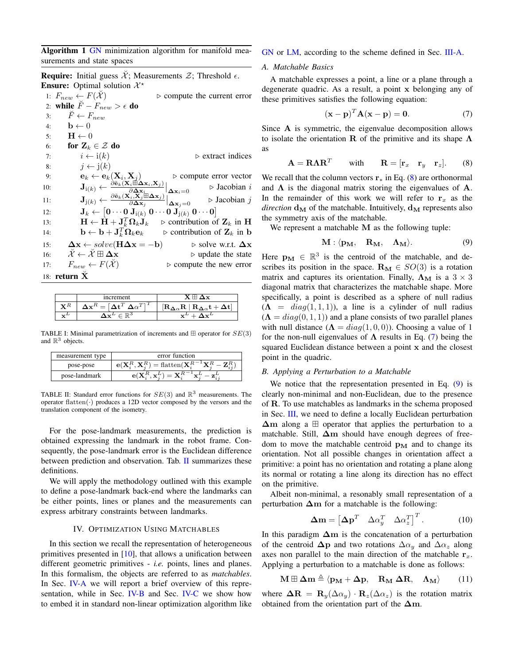Algorithm 1 GN minimization algorithm for manifold measurements and state spaces

**Require:** Initial guess  $\mathcal{X}$ ; Measurements  $\mathcal{Z}$ ; Threshold  $\epsilon$ . **Ensure:** Optimal solution  $\mathcal{X}^*$ 1:  $F_{new} \leftarrow F(\check{\mathcal{X}})$  $\rhd$  compute the current error 2: while  $\tilde{F} - F_{new} > \epsilon$  do  $\check{F} \leftarrow F_{new}$  $3:$  $\mathbf{b} \leftarrow 0$  $4:$  $\mathbf{H} \leftarrow 0$  $5:$ for  $\mathbf{Z}_k \in \mathcal{Z}$  do  $6:$  $i \leftarrow i(k)$  $\triangleright$  extract indices  $7:$  $8:$  $j \leftarrow j(k)$  $\mathbf{e}_k \leftarrow \mathbf{e}_k(\mathbf{X}_i, \mathbf{X}_j)$  $\triangleright$  compute error vector 9:  $\mathbf{J}_{\mathrm{i}(k)} \leftarrow \tfrac{\hat{\partial} \tilde{\mathbf{e}}_k(\mathbf{X}_i \overset{J}{\boxplus} \overset{J}{\Delta} \mathbf{x}_i, \mathbf{X}_j)}{\mathbf{A} - 1}$  $10:$  $\mathbf{J}_{\mathrm{j}(k)} \leftarrow \frac{\frac{\partial \mathbf{\Delta x}_i}{\partial \mathbf{\Delta x}_i}}{\frac{\partial \mathbf{\Delta x}_i}{\partial \mathbf{\Delta x}_j}}$  $\triangleright$  Jacobian i  $\Delta \mathbf{x}_i = 0$  $\triangleright$  Jacobian *i*  $11$  $\partial \mathbf{\Delta x}_j$  $\Delta$ x<sub>i</sub>=0  $\mathbf{J}_k \leftarrow \begin{bmatrix} \mathbf{0} \cdots \mathbf{0} \ \mathbf{J}_{\mathrm{i}(k)} \ \mathbf{0} \cdots \mathbf{0} \ \mathbf{J}_{\mathrm{j}(k)} \ \mathbf{0} \cdots \mathbf{0} \end{bmatrix}$  $12:$  $\mathbf{H} \leftarrow \tilde{\mathbf{H}} + \mathbf{J}_k^T \mathbf{\Omega}_k \mathbf{J}_k$  $\triangleright$  contribution of  $\mathbf{Z}_k$  in H  $13.$  $\mathbf{b} \leftarrow \mathbf{b} + \mathbf{J}_k^T \mathbf{\hat{\Omega}}_k \mathbf{e}_k$  $\triangleright$  contribution of  $\mathbf{Z}_k$  in b  $14:$  $\Delta x \leftarrow solve(H\Delta x = -b)$  $\triangleright$  solve w.r.t.  $\Delta x$  $15:$  $\check{\mathcal{X}} \leftarrow \check{\mathcal{X}} \boxplus \mathbf{\Delta x}$  $\triangleright$  update the state  $16:$  $F_{new} \leftarrow F(\check{\mathcal{X}})$  $\triangleright$  compute the new error  $17:$ 18: return  $\check{\mathbf{X}}$ 

|   | increment                    | \v                                                                                             |
|---|------------------------------|------------------------------------------------------------------------------------------------|
|   | $\Delta$ $\alpha$ $^{\circ}$ | $R_{\Delta\alpha}t +$<br>$ \mathbf{R}_{\mathbf{\Delta}\alpha} \mathbf{R}$   i.e.<br>$\Delta t$ |
| ┄ |                              | $-1$                                                                                           |

TABLE I: Minimal parametrization of increments and  $\boxplus$  operator for  $SE(3)$ and  $\mathbb{R}^3$  objects.

| measurement type | error function                                                                                     |
|------------------|----------------------------------------------------------------------------------------------------|
| pose-pose        | $\mathbf{e}(\mathbf{X}_i^R, \mathbf{X}_i^R) = \text{flatten}(\mathbf{X}_i^{R^{-1}}\mathbf{X}_i^R)$ |
| pose-landmark    | $\mathbf{e}(\mathbf{X}^R, \mathbf{x}^L) = \mathbf{X}^{R-1} \mathbf{x}^L$                           |

TABLE II: Standard error functions for  $SE(3)$  and  $\mathbb{R}^3$  measurements. The operator flatten( $\cdot$ ) produces a 12D vector composed by the versors and the translation component of the isometry.

For the pose-landmark measurements, the prediction is obtained expressing the landmark in the robot frame. Consequently, the pose-landmark error is the Euclidean difference between prediction and observation. Tab. II summarizes these definitions.

We will apply the methodology outlined with this example to define a pose-landmark back-end where the landmarks can be either points, lines or planes and the measurements can express arbitrary constraints between landmarks.

## IV. OPTIMIZATION USING MATCHABLES

In this section we recall the representation of heterogeneous primitives presented in  $[10]$ , that allows a unification between different geometric primitives - *i.e.* points, lines and planes. In this formalism, the objects are referred to as matchables. In Sec. IV-A we will report a brief overview of this representation, while in Sec. IV-B and Sec. IV-C we show how to embed it in standard non-linear optimization algorithm like

#### GN or LM, according to the scheme defined in Sec. III-A.

#### A. Matchable Basics

A matchable expresses a point, a line or a plane through a degenerate quadric. As a result, a point x belonging any of these primitives satisfies the following equation:

$$
(\mathbf{x} - \mathbf{p})^T \mathbf{A} (\mathbf{x} - \mathbf{p}) = \mathbf{0}.
$$
 (7)

Since A is symmetric, the eigenvalue decomposition allows to isolate the orientation **R** of the primitive and its shape  $\Lambda$ as

$$
\mathbf{A} = \mathbf{R} \mathbf{\Lambda} \mathbf{R}^T \qquad \text{with} \qquad \mathbf{R} = [\mathbf{r}_x \quad \mathbf{r}_y \quad \mathbf{r}_z]. \tag{8}
$$

We recall that the column vectors  $\mathbf{r}_*$  in Eq. (8) are orthonormal and  $\Lambda$  is the diagonal matrix storing the eigenvalues of  $\Lambda$ . In the remainder of this work we will refer to  $r_x$  as the *direction*  $d_M$  of the matchable. Intuitively,  $d_M$  represents also the symmetry axis of the matchable.

We represent a matchable  $M$  as the following tuple:

$$
\mathbf{M} : \langle \mathbf{p}_{\mathbf{M}}, \quad \mathbf{R}_{\mathbf{M}}, \quad \mathbf{\Lambda}_{\mathbf{M}} \rangle. \tag{9}
$$

Here  $\mathbf{p}_{\mathbf{M}} \in \mathbb{R}^3$  is the centroid of the matchable, and describes its position in the space.  $\mathbf{R}_{\mathbf{M}} \in SO(3)$  is a rotation matrix and captures its orientation. Finally,  $\Lambda_M$  is a  $3 \times 3$ diagonal matrix that characterizes the matchable shape. More specifically, a point is described as a sphere of null radius  $(\Lambda = diag(1,1,1))$ , a line is a cylinder of null radius  $(\Lambda = diag(0, 1, 1))$  and a plane consists of two parallel planes with null distance  $(\Lambda = diag(1, 0, 0))$ . Choosing a value of 1 for the non-null eigenvalues of  $\Lambda$  results in Eq. (7) being the squared Euclidean distance between a point x and the closest point in the quadric.

#### B. Applying a Perturbation to a Matchable

We notice that the representation presented in Eq.  $(9)$  is clearly non-minimal and non-Euclidean, due to the presence of R. To use matchables as landmarks in the schema proposed in Sec. III, we need to define a locally Euclidean perturbation  $\Delta m$  along a  $\boxplus$  operator that applies the perturbation to a matchable. Still,  $\Delta m$  should have enough degrees of freedom to move the matchable centroid  $p_M$  and to change its orientation. Not all possible changes in orientation affect a primitive: a point has no orientation and rotating a plane along its normal or rotating a line along its direction has no effect on the primitive.

Albeit non-minimal, a resonably small representation of a perturbation  $\Delta m$  for a matchable is the following:

$$
\Delta \mathbf{m} = \begin{bmatrix} \Delta \mathbf{p}^T & \Delta \alpha_y^T & \Delta \alpha_z^T \end{bmatrix}^T.
$$
 (10)

In this paradigm  $\Delta m$  is the concatenation of a perturbation of the centroid  $\Delta p$  and two rotations  $\Delta \alpha_u$  and  $\Delta \alpha_z$  along axes non parallel to the main direction of the matchable  $r<sub>x</sub>$ . Applying a perturbation to a matchable is done as follows:

$$
\mathbf{M} \boxplus \mathbf{\Delta m} \triangleq \langle \mathbf{p}_{\mathbf{M}} + \mathbf{\Delta p}, \quad \mathbf{R}_{\mathbf{M}} \mathbf{\Delta R}, \quad \mathbf{\Lambda}_{\mathbf{M}} \rangle \tag{11}
$$

where  $\Delta \mathbf{R} = \mathbf{R}_y(\Delta \alpha_y) \cdot \mathbf{R}_z(\Delta \alpha_z)$  is the rotation matrix obtained from the orientation part of the  $\Delta m$ .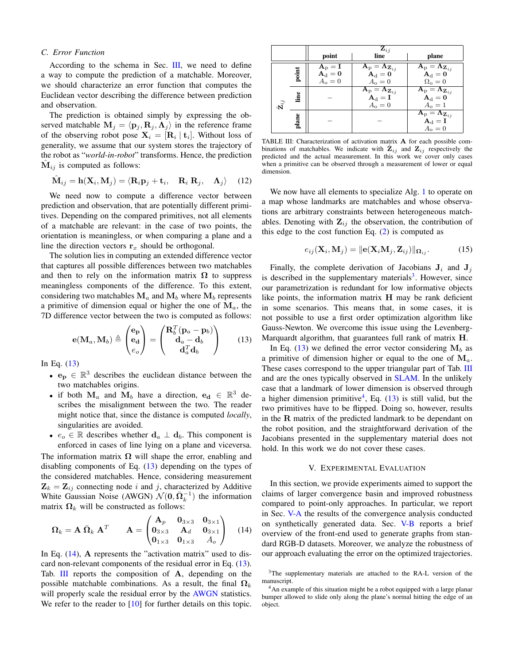#### C. Error Function

According to the schema in Sec. III, we need to define a way to compute the prediction of a matchable. Moreover, we should characterize an error function that computes the Euclidean vector describing the difference between prediction and observation.

The prediction is obtained simply by expressing the observed matchable  $\mathbf{M}_i = \langle \mathbf{p}_i, \mathbf{R}_i, \Lambda_i \rangle$  in the reference frame of the observing robot pose  $X_i = [R_i | t_i]$ . Without loss of generality, we assume that our system stores the trajectory of the robot as "world-in-robot" transforms. Hence, the prediction  $M_{ij}$  is computed as follows:

$$
\hat{\mathbf{M}}_{ij} = \mathbf{h}(\mathbf{X}_i, \mathbf{M}_j) = \langle \mathbf{R}_i \mathbf{p}_j + \mathbf{t}_i, \quad \mathbf{R}_i \mathbf{R}_j, \quad \mathbf{\Lambda}_j \rangle \tag{12}
$$

We need now to compute a difference vector between prediction and observation, that are potentially different primitives. Depending on the compared primitives, not all elements of a matchable are relevant: in the case of two points, the orientation is meaningless, or when comparing a plane and a line the direction vectors  $r_x$  should be orthogonal.

The solution lies in computing an extended difference vector that captures all possible differences between two matchables and then to rely on the information matrix  $\Omega$  to suppress meaningless components of the difference. To this extent, considering two matchables  $M_a$  and  $M_b$  where  $M_b$  represents a primitive of dimension equal or higher the one of  $M_a$ , the 7D difference vector between the two is computed as follows:

$$
\mathbf{e}(\mathbf{M}_a, \mathbf{M}_b) \triangleq \begin{pmatrix} \mathbf{e_p} \\ \mathbf{e_d} \\ e_o \end{pmatrix} = \begin{pmatrix} \mathbf{R}_b^T (\mathbf{p}_a - \mathbf{p}_b) \\ \mathbf{d}_a - \mathbf{d}_b \\ \mathbf{d}_a^T \mathbf{d}_b \end{pmatrix}
$$
(13)

In Eq.  $(13)$ 

- $\mathbf{e_p} \in \mathbb{R}^3$  describes the euclidean distance between the two matchables origins.
- if both  $M_a$  and  $M_b$  have a direction,  $e_d \in \mathbb{R}^3$  describes the misalignment between the two. The reader might notice that, since the distance is computed locally, singularities are avoided.
- $e_o \in \mathbb{R}$  describes whether  $\mathbf{d}_a \perp \mathbf{d}_b$ . This component is enforced in cases of line lying on a plane and viceversa.

The information matrix  $\Omega$  will shape the error, enabling and disabling components of Eq.  $(13)$  depending on the types of the considered matchables. Hence, considering measurement  $\mathbf{Z}_k = \mathbf{Z}_{ij}$  connecting node i and j, characterized by Additive White Gaussian Noise (AWGN)  $\mathcal{N}(\mathbf{0}, \overline{\mathbf{\Omega}}_k^{-1})$  the information matrix  $\Omega_k$  will be constructed as follows:

$$
\boldsymbol{\Omega}_{k} = \mathbf{A} \; \bar{\boldsymbol{\Omega}}_{k} \; \mathbf{A}^{T} \qquad \mathbf{A} = \begin{pmatrix} \mathbf{A}_{p} & \mathbf{0}_{3 \times 3} & \mathbf{0}_{3 \times 1} \\ \mathbf{0}_{3 \times 3} & \mathbf{A}_{d} & \mathbf{0}_{3 \times 1} \\ \mathbf{0}_{1 \times 3} & \mathbf{0}_{1 \times 3} & A_{o} \end{pmatrix} \quad (14)
$$

In Eq.  $(14)$ , A represents the "activation matrix" used to discard non-relevant components of the residual error in Eq. (13). Tab. III reports the composition of A, depending on the possible matchable combinations. As a result, the final  $\Omega_k$ will properly scale the residual error by the AWGN statistics. We refer to the reader to  $[10]$  for further details on this topic.

|                         |       | $\mathbf{Z}_{ij}$                                                                                                                    |                                                                                                                                |                                                                                                                                |  |
|-------------------------|-------|--------------------------------------------------------------------------------------------------------------------------------------|--------------------------------------------------------------------------------------------------------------------------------|--------------------------------------------------------------------------------------------------------------------------------|--|
|                         |       | point                                                                                                                                | line                                                                                                                           | plane                                                                                                                          |  |
|                         |       | $\begin{array}{c} \mathbf{A}_{\mathrm{p}}=\mathbf{I} \\ \mathbf{A}_{\mathrm{d}}=\mathbf{0} \\ A_{\mathrm{o}}=\mathbf{0} \end{array}$ |                                                                                                                                | $\mathbf{A}_{\mathrm{p}} = \mathbf{\Lambda}_{\mathbf{Z}_{ij}}$<br>$\mathbf{A}_{\mathrm{d}} = \mathbf{0}$                       |  |
|                         | point |                                                                                                                                      | $\begin{array}{c} \mathbf{A}_{\mathrm{p}}=\mathbf{\Lambda}_{\mathbf{Z}_{ij}}\\ \mathbf{A}_{\mathrm{d}}=\mathbf{0} \end{array}$ |                                                                                                                                |  |
|                         |       |                                                                                                                                      | $A_0=0$                                                                                                                        | $\Omega_{\rm o}=0$                                                                                                             |  |
| $\hat{\mathbf{Z}}_{ij}$ | line  |                                                                                                                                      | $\mathbf{A}_{\mathrm{p}} = \mathbf{\Lambda}_{\mathbf{Z}_{ij}}$<br>$\mathbf{A}_{\mathrm{d}} = \mathbf{I}$                       | $\begin{array}{c} \mathbf{A}_{\mathrm{p}}=\mathbf{\Lambda}_{\mathbf{Z}_{ij}}\\ \mathbf{A}_{\mathrm{d}}=\mathbf{0} \end{array}$ |  |
|                         |       |                                                                                                                                      |                                                                                                                                |                                                                                                                                |  |
|                         |       |                                                                                                                                      | $\ddot{A_0} = 0$                                                                                                               | $A_{\rm o}=1$                                                                                                                  |  |
|                         | plane |                                                                                                                                      |                                                                                                                                | $\begin{array}{c} \mathbf{A}_{\mathrm{p}}=\mathbf{\Lambda}_{\mathbf{Z}_{ij}}\\ \mathbf{A}_{\mathrm{d}}=\mathbf{I} \end{array}$ |  |
|                         |       |                                                                                                                                      |                                                                                                                                |                                                                                                                                |  |
|                         |       |                                                                                                                                      |                                                                                                                                | $A_{o}=0$                                                                                                                      |  |

TABLE III: Characterization of activation matrix A for each possible combinations of matchables. We indicate with  $\mathbf{Z}_{ij}$  and  $\mathbf{Z}_{ij}$  respectively the predicted and the actual measurement. In this work we cover only cases when a primitive can be observed through a measurement of lower or equal dimension.

We now have all elements to specialize Alg. 1 to operate on a map whose landmarks are matchables and whose observations are arbitrary constraints between heterogeneous matchables. Denoting with  $\mathbf{Z}_{ij}$  the observation, the contribution of this edge to the cost function Eq.  $(2)$  is computed as

$$
e_{ij}(\mathbf{X}_i, \mathbf{M}_j) = ||\mathbf{e}(\mathbf{X}_i, \mathbf{M}_j, \mathbf{Z}_{ij})||_{\mathbf{\Omega}_{ij}}.
$$
 (15)

Finally, the complete derivation of Jacobians  $J_i$  and  $J_j$ is described in the supplementary materials<sup>3</sup>. However, since our parametrization is redundant for low informative objects like points, the information matrix  $H$  may be rank deficient in some scenarios. This means that, in some cases, it is not possible to use a first order optimization algorithm like Gauss-Newton. We overcome this issue using the Levenberg-Marquardt algorithm, that guarantees full rank of matrix  $H$ .

In Eq. (13) we defined the error vector considering  $M_b$  as a primitive of dimension higher or equal to the one of  $\mathbf{M}_a$ . These cases correspond to the upper triangular part of Tab. III and are the ones typically observed in SLAM. In the unlikely case that a landmark of lower dimension is observed through a higher dimension primitive<sup>4</sup>, Eq.  $(13)$  is still valid, but the two primitives have to be flipped. Doing so, however, results in the  $R$  matrix of the predicted landmark to be dependant on the robot position, and the straightforward derivation of the Jacobians presented in the supplementary material does not hold. In this work we do not cover these cases.

#### V. EXPERIMENTAL EVALUATION

In this section, we provide experiments aimed to support the claims of larger convergence basin and improved robustness compared to point-only approaches. In particular, we report in Sec. V-A the results of the convergence analysis conducted on synthetically generated data. Sec. V-B reports a brief overview of the front-end used to generate graphs from standard RGB-D datasets. Moreover, we analyze the robustness of our approach evaluating the error on the optimized trajectories.

<sup>&</sup>lt;sup>3</sup>The supplementary materials are attached to the RA-L version of the manuscript.

<sup>&</sup>lt;sup>4</sup>An example of this situation might be a robot equipped with a large planar bumper allowed to slide only along the plane's normal hitting the edge of an object.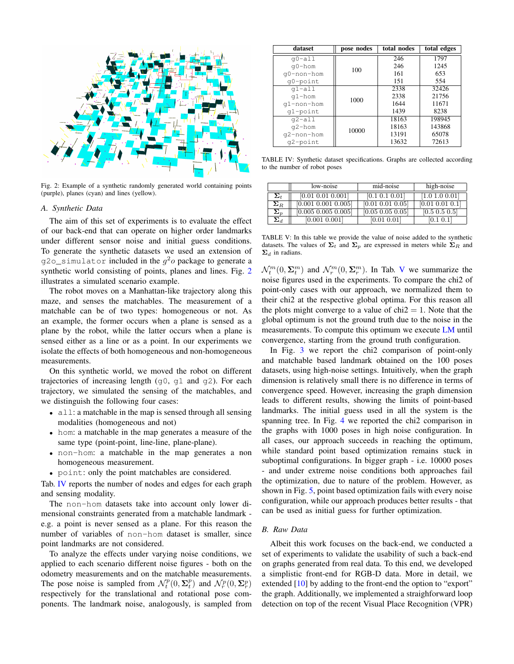

Fig. 2: Example of a synthetic randomly generated world containing points (purple), planes (cyan) and lines (yellow).

## A. Synthetic Data

The aim of this set of experiments is to evaluate the effect of our back-end that can operate on higher order landmarks under different sensor noise and initial guess conditions. To generate the synthetic datasets we used an extension of q20\_simulator included in the  $q^2$ o package to generate a synthetic world consisting of points, planes and lines. Fig. 2 illustrates a simulated scenario example.

The robot moves on a Manhattan-like trajectory along this maze, and senses the matchables. The measurement of a matchable can be of two types: homogeneous or not. As an example, the former occurs when a plane is sensed as a plane by the robot, while the latter occurs when a plane is sensed either as a line or as a point. In our experiments we isolate the effects of both homogeneous and non-homogeneous measurements.

On this synthetic world, we moved the robot on different trajectories of increasing length  $(q0, q1$  and  $q2)$ . For each trajectory, we simulated the sensing of the matchables, and we distinguish the following four cases:

- $\bullet$  all: a matchable in the map is sensed through all sensing modalities (homogeneous and not)
- hom: a matchable in the map generates a measure of the same type (point-point, line-line, plane-plane).
- non-hom: a matchable in the map generates a non homogeneous measurement.
- point: only the point matchables are considered.

Tab. IV reports the number of nodes and edges for each graph and sensing modality.

The non-hom datasets take into account only lower dimensional constraints generated from a matchable landmark e.g. a point is never sensed as a plane. For this reason the number of variables of non-hom dataset is smaller, since point landmarks are not considered.

To analyze the effects under varying noise conditions, we applied to each scenario different noise figures - both on the odometry measurements and on the matchable measurements. The pose noise is sampled from  $\mathcal{N}_t^p(0, \Sigma_t^p)$  and  $\mathcal{N}_r^p(0, \Sigma_t^p)$ respectively for the translational and rotational pose components. The landmark noise, analogously, is sampled from

| dataset     | pose nodes | total nodes | total edges |
|-------------|------------|-------------|-------------|
| $q0-a11$    |            | 246         | 1797        |
| q0-hom      | 100        | 246         | 1245        |
| q0-non-hom  |            | 161         | 653         |
| q0-point    |            | 151         | 554         |
| $q1-a11$    |            | 2338        | 32426       |
| $q1 - hom$  | 1000       | 2338        | 21756       |
| q1-non-hom  |            | 1644        | 11671       |
| $q1$ -point |            | 1439        | 8238        |
| $q2 - a11$  |            | 18163       | 198945      |
| $q2 - hom$  | 10000      | 18163       | 143868      |
| q2-non-hom  |            | 13191       | 65078       |
| q2-point    |            | 13632       | 72613       |

TABLE IV: Synthetic dataset specifications. Graphs are collected according to the number of robot poses

|                         | low-noise               | mid-noise            | high-noise      |
|-------------------------|-------------------------|----------------------|-----------------|
| $\boldsymbol{\Sigma}_t$ | [0.01 0.01 0.001]       | [0.1 0.1 0.01]       | [1.0 1.0 0.01]  |
| $\boldsymbol{\Sigma}_R$ | [0.001 0.001 0.005]     | [0.01 0.01 0.05]     | [0.01 0.01 0.1] |
| $\boldsymbol{\Sigma}_p$ | $[0.005\ 0.005\ 0.005]$ | $[0.05\ 0.05\ 0.05]$ | [0.5 0.5 0.5]   |
| $\boldsymbol{\Sigma}_d$ | [0.001 0.001]           | [0.01 0.01]          | [0.1 0.1]       |

TABLE V: In this table we provide the value of noise added to the synthetic datasets. The values of  $\Sigma_t$  and  $\Sigma_p$  are expressed in meters while  $\Sigma_R$  and  $\Sigma_d$  in radians.

 $\mathcal{N}_t^m(0,\Sigma_t^m)$  and  $\mathcal{N}_r^m(0,\Sigma_t^m)$ . In Tab. V we summarize the noise figures used in the experiments. To compare the chi2 of point-only cases with our approach, we normalized them to their chi2 at the respective global optima. For this reason all the plots might converge to a value of  $chi2 = 1$ . Note that the global optimum is not the ground truth due to the noise in the measurements. To compute this optimum we execute LM until convergence, starting from the ground truth configuration.

In Fig. 3 we report the chi2 comparison of point-only and matchable based landmark obtained on the 100 poses datasets, using high-noise settings. Intuitively, when the graph dimension is relatively small there is no difference in terms of convergence speed. However, increasing the graph dimension leads to different results, showing the limits of point-based landmarks. The initial guess used in all the system is the spanning tree. In Fig. 4 we reported the chi2 comparison in the graphs with 1000 poses in high noise configuration. In all cases, our approach succeeds in reaching the optimum, while standard point based optimization remains stuck in suboptimal configurations. In bigger graph - i.e. 10000 poses - and under extreme noise conditions both approaches fail the optimization, due to nature of the problem. However, as shown in Fig. 5, point based optimization fails with every noise configuration, while our approach produces better results - that can be used as initial guess for further optimization.

### **B.** Raw Data

Albeit this work focuses on the back-end, we conducted a set of experiments to validate the usability of such a back-end on graphs generated from real data. To this end, we developed a simplistic front-end for RGB-D data. More in detail, we extended  $[10]$  by adding to the front-end the option to "export" the graph. Additionally, we implemented a straighforward loop detection on top of the recent Visual Place Recognition (VPR)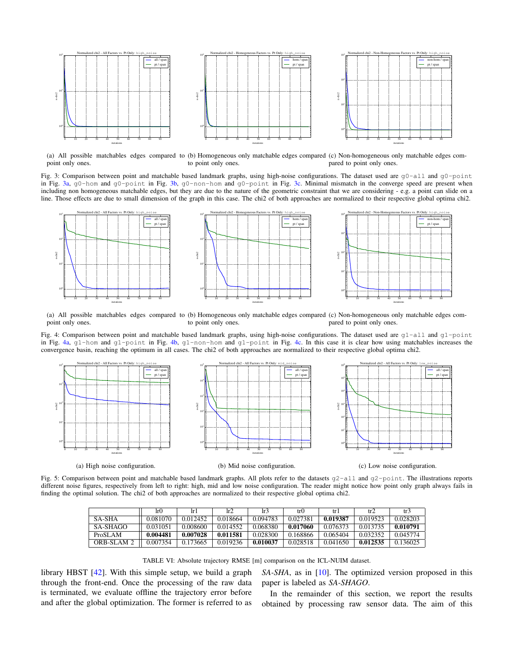

(a) All possible matchables edges compared to (b) Homogeneous only matchable edges compared (c) Non-homogeneous only matchable edges compoint only ones. to point only ones. pared to point only ones.

Fig. 3: Comparison between point and matchable based landmark graphs, using high-noise configurations. The dataset used are g0-all and g0-point in Fig. 3a, g0-hom and g0-point in Fig. 3b, g0-non-hom and g0-point in Fig. 3c. Minimal mismatch in the converge speed are present when including non homogeneous matchable edges, but they are due to the nature of the geometric constraint that we are considering - e.g. a point can slide on a line. Those effects are due to small dimension of the graph in this case. The chi2 of both approaches are normalized to their respective global optima chi2.



(a) All possible matchables edges compared to (b) Homogeneous only matchable edges compared (c) Non-homogeneous only matchable edges compoint only ones. to point only ones. pared to point only ones.

Fig. 4: Comparison between point and matchable based landmark graphs, using high-noise configurations. The dataset used are  $q1$ -all and  $q1$ -point in Fig. 4a, g1-hom and g1-point in Fig. 4b, g1-non-hom and g1-point in Fig. 4c. In this case it is clear how using matchables increases the convergence basin, reaching the optimum in all cases. The chi2 of both approaches are normalized to their respective global optima chi2.



(a) High noise configuration.

(b) Mid noise configuration.

(c) Low noise configuration.

Fig. 5: Comparison between point and matchable based landmark graphs. All plots refer to the datasets  $q2$ -all and  $q2$ -point. The illustrations reports different noise figures, respectively from left to right: high, mid and low noise configuration. The reader might notice how point only graph always fails in finding the optimal solution. The chi2 of both approaches are normalized to their respective global optima chi2.

|            | r()      | -lr I    | lr2      | lr3      | tr()     | tr I     | tr2      | tr3      |
|------------|----------|----------|----------|----------|----------|----------|----------|----------|
| SA-SHA     | 0.081070 | 0.012452 | 0.018664 | 0.094783 | 0.027381 | 0.019387 | 0.019523 | 0.028203 |
| SA-SHAGO   | 0.031051 | 0.008600 | 0.014552 | 0.068380 | 0.017060 | 0.076373 | 0.013735 | 0.010791 |
| ProSLAM    | 0.004481 | 0.007028 | 0.011581 | 0.028300 | 0.168866 | 0.065404 | 0.032352 | 0.045774 |
| ORB-SLAM 2 | 0.007354 | 0.173665 | 0.019236 | 0.010037 | 0.028518 | 0.041650 | 0.012535 | 0.136025 |

TABLE VI: Absolute trajectory RMSE [m] comparison on the ICL-NUIM dataset.

library HBST  $[42]$ . With this simple setup, we build a graph through the front-end. Once the processing of the raw data is terminated, we evaluate offline the trajectory error before and after the global optimization. The former is referred to as

 $SA-SHA$ , as in [10]. The optimized version proposed in this paper is labeled as SA-SHAGO.

In the remainder of this section, we report the results obtained by processing raw sensor data. The aim of this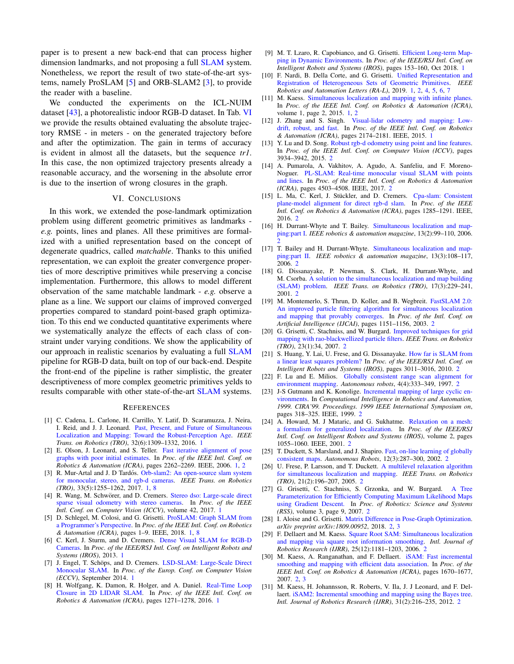paper is to present a new back-end that can process higher dimension landmarks, and not proposing a full SLAM system. Nonetheless, we report the result of two state-of-the-art systems, namely ProSLAM [5] and ORB-SLAM2 [3], to provide the reader with a baseline.

We conducted the experiments on the ICL-NUIM dataset [43], a photorealistic indoor RGB-D dataset. In Tab. VI we provide the results obtained evaluating the absolute trajectory RMSE - in meters - on the generated trajectory before and after the optimization. The gain in terms of accuracy is evident in almost all the datasets, but the sequence tr1. In this case, the non optimized trajectory presents already a reasonable accuracy, and the worsening in the absolute error is due to the insertion of wrong closures in the graph.

#### VI. CONCLUSIONS

In this work, we extended the pose-landmark optimization problem using different geometric primitives as landmarks e.g. points, lines and planes. All these primitives are formalized with a unified representation based on the concept of degenerate quadrics, called *matchable*. Thanks to this unified representation, we can exploit the greater convergence properties of more descriptive primitives while preserving a concise implementation. Furthermore, this allows to model different observation of the same matchable landmark  $-e.g.$  observe a plane as a line. We support our claims of improved converged properties compared to standard point-based graph optimization. To this end we conducted quantitative experiments where we systematically analyze the effects of each class of constraint under varying conditions. We show the applicability of our approach in realistic scenarios by evaluating a full **SLAM** pipeline for RGB-D data, built on top of our back-end. Despite the front-end of the pipeline is rather simplistic, the greater descriptiveness of more complex geometric primitives yelds to results comparable with other state-of-the-art SLAM systems.

#### **REFERENCES**

- [1] C. Cadena, L. Carlone, H. Carrillo, Y. Latif, D. Scaramuzza, J. Neira, I. Reid, and J. J. Leonard. Past, Present, and Future of Simultaneous Localization and Mapping: Toward the Robust-Perception Age. IEEE Trans. on Robotics (TRO), 32(6):1309-1332, 2016. 1
- [2] E. Olson, J. Leonard, and S. Teller. Fast iterative alignment of pose graphs with poor initial estimates. In Proc. of the IEEE Intl. Conf. on Robotics & Automation (ICRA), pages 2262-2269. IEEE, 2006. 1, 2
- [3] R. Mur-Artal and J. D Tardós. Orb-slam2: An open-source slam system for monocular, stereo, and rgb-d cameras. IEEE Trans. on Robotics  $(TRO)$ , 33(5):1255-1262, 2017, 1, 8
- [4] R. Wang, M. Schwörer, and D. Cremers. Stereo dso: Large-scale direct sparse visual odometry with stereo cameras. In Proc. of the IEEE Intl. Conf. on Computer Vision (ICCV), volume 42, 2017. 1
- [5] D. Schlegel, M. Colosi, and G. Grisetti. ProSLAM: Graph SLAM from a Programmer's Perspective. In Proc. of the IEEE Intl. Conf. on Robotics & Automation (ICRA), pages 1-9. IEEE, 2018. 1, 8
- [6] C. Kerl, J. Sturm, and D. Cremers. Dense Visual SLAM for RGB-D Cameras. In Proc. of the IEEE/RSJ Intl. Conf. on Intelligent Robots and Systems (IROS), 2013. 1
- [7] J. Engel, T. Schöps, and D. Cremers. LSD-SLAM: Large-Scale Direct Monocular SLAM. In Proc. of the Europ. Conf. on Computer Vision (ECCV), September 2014. 1
- [8] H. Wolfgang, K. Damon, R. Holger, and A. Daniel. Real-Time Loop Closure in 2D LIDAR SLAM. In Proc. of the IEEE Intl. Conf. on Robotics & Automation (ICRA), pages 1271-1278, 2016. 1
- [9] M. T. Lzaro, R. Capobianco, and G. Grisetti. Efficient Long-term Mapping in Dynamic Environments. In Proc. of the IEEE/RSJ Intl. Conf. on Intelligent Robots and Systems (IROS), pages 153-160, Oct 2018. 1
- [10] F. Nardi, B. Della Corte, and G. Grisetti. Unified Representation and Registration of Heterogeneous Sets of Geometric Primitives. *IEEE* Robotics and Automation Letters (RA-L), 2019. 1, 2, 4, 5, 6, 7
- [11] M. Kaess. Simultaneous localization and mapping with infinite planes. In Proc. of the IEEE Intl. Conf. on Robotics & Automation (ICRA), volume 1, page 2, 2015. 1, 2
- [12] J. Zhang and S. Singh. Visual-lidar odometry and mapping: Lowdrift, robust, and fast. In Proc. of the IEEE Intl. Conf. on Robotics & Automation (ICRA), pages 2174-2181. IEEE, 2015. 1
- [13] Y. Lu and D. Song. Robust rgb-d odometry using point and line features. In Proc. of the IEEE Intl. Conf. on Computer Vision (ICCV), pages 3934-3942, 2015. 2
- [14] A. Pumarola, A. Vakhitov, A. Agudo, A. Sanfeliu, and F. Moreno-Noguer. PL-SLAM: Real-time monocular visual SLAM with points and lines. In Proc. of the IEEE Intl. Conf. on Robotics & Automation (ICRA), pages 4503-4508. IEEE, 2017. 2
- [15] L. Ma, C. Kerl, J. Stückler, and D. Cremers. Cpa-slam: Consistent plane-model alignment for direct rgb-d slam. In Proc. of the IEEE Intl. Conf. on Robotics & Automation (ICRA), pages 1285-1291. IEEE, 2016. 2
- [16] H. Durrant-Whyte and T. Bailey. Simultaneous localization and mapping:part I. IEEE robotics & automation magazine, 13(2):99-110, 2006.
- [17] T. Bailey and H. Durrant-Whyte. Simultaneous localization and mapping:part II. IEEE robotics & automation magazine, 13(3):108-117, 2006. 2
- [18] G. Dissanayake, P. Newman, S. Clark, H. Durrant-Whyte, and M. Csorba. A solution to the simultaneous localization and map building (SLAM) problem. IEEE Trans. on Robotics (TRO), 17(3):229-241, 2001.2
- $[19]$ M. Montemerlo, S. Thrun, D. Koller, and B. Wegbreit. FastSLAM 2.0: An improved particle filtering algorithm for simultaneous localization and mapping that provably converges. In Proc. of the Intl. Conf. on Artificial Intelligence (IJCAI), pages 1151-1156, 2003. 2
- [20] G. Grisetti, C. Stachniss, and W. Burgard. Improved techniques for grid mapping with rao-blackwellized particle filters. IEEE Trans. on Robotics  $(TRO)$ , 23(1):34, 2007. 2
- [21] S. Huang, Y. Lai, U. Frese, and G. Dissanayake. How far is SLAM from a linear least squares problem? In Proc. of the IEEE/RSJ Intl. Conf. on Intelligent Robots and Systems (IROS), pages 3011-3016, 2010. 2
- [22] F. Lu and E. Milios. Globally consistent range scan alignment for environment mapping. Autonomous robots, 4(4):333-349, 1997. 2
- [23] J-S Gutmann and K. Konolige. Incremental mapping of large cyclic environments. In Computational Intelligence in Robotics and Automation 1999. CIRA'99. Proceedings. 1999 IEEE International Symposium on, pages 318-325. IEEE, 1999. 2
- [24] A. Howard, M. J Mataric, and G. Sukhatme. Relaxation on a mesh: a formalism for generalized localization. In Proc. of the IEEE/RSJ Intl. Conf. on Intelligent Robots and Systems (IROS), volume 2, pages 1055-1060. IEEE, 2001. 2
- [25] T. Duckett, S. Marsland, and J. Shapiro. Fast, on-line learning of globally consistent maps. Autonomous Robots, 12(3):287-300, 2002. 2
- [26] U. Frese, P. Larsson, and T. Duckett. A multilevel relaxation algorithm for simultaneous localization and mapping. IEEE Trans. on Robotics  $(TRO)$ , 21(2):196-207, 2005. 2
- [27] G. Grisetti, C. Stachniss, S. Grzonka, and W. Burgard. A Tree Parameterization for Efficiently Computing Maximum Likelihood Maps using Gradient Descent. In Proc. of Robotics: Science and Systems (RSS), volume 3, page 9, 2007. 2
- [28] I. Aloise and G. Grisetti. Matrix Difference in Pose-Graph Optimization. arXiv preprint arXiv:1809.00952, 2018. 2, 3
- [29] F. Dellaert and M. Kaess. Square Root SAM: Simultaneous localization and mapping via square root information smoothing. Intl. Journal of Robotics Research (IJRR), 25(12):1181-1203, 2006. 2
- [30] M. Kaess, A. Ranganathan, and F. Dellaert. iSAM: Fast incremental smoothing and mapping with efficient data association. In Proc. of the IEEE Intl. Conf. on Robotics & Automation (ICRA), pages 1670-1677,  $2007.2.3$
- [31] M. Kaess, H. Johannsson, R. Roberts, V. Ila, J. J Leonard, and F. Dellaert. iSAM2: Incremental smoothing and mapping using the Bayes tree. Intl. Journal of Robotics Research (IJRR), 31(2):216-235, 2012. 2